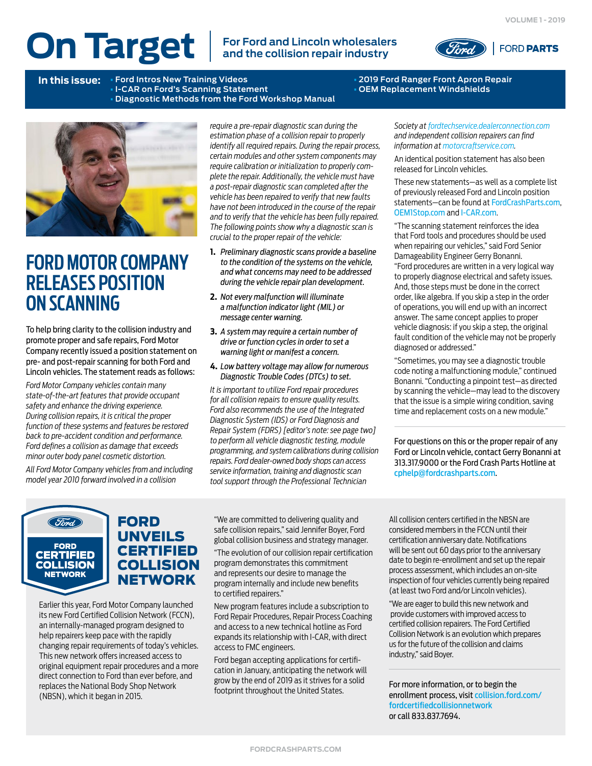# **On Target For Ford and Lincoln wholesalers**

**and the collision repair industry**



**In this issue:** • **Ford Intros New Training Videos** • **2019 Ford Ranger Front Apron Repair • I-CAR on Ford's Scanning Statement** • **Diagnostic Methods from the Ford Workshop Manual** 



# **FORD MOTOR COMPANY RELEASES POSITION ON SCANNING**

To help bring clarity to the collision industry and promote proper and safe repairs, Ford Motor Company recently issued a position statement on pre- and post-repair scanning for both Ford and Lincoln vehicles. The statement reads as follows:

*Ford Motor Company vehicles contain many state-of-the-art features that provide occupant safety and enhance the driving experience. During collision repairs, it is critical the proper function of these systems and features be restored back to pre-accident condition and performance. Ford defines a collision as damage that exceeds minor outer body panel cosmetic distortion.*

*All Ford Motor Company vehicles from and including model year 2010 forward involved in a collision* 

*require a pre-repair diagnostic scan during the estimation phase of a collision repair to properly identify all required repairs. During the repair process, certain modules and other system components may require calibration or initialization to properly complete the repair. Additionally, the vehicle must have a post-repair diagnostic scan completed after the vehicle has been repaired to verify that new faults have not been introduced in the course of the repair and to verify that the vehicle has been fully repaired. The following points show why a diagnostic scan is crucial to the proper repair of the vehicle:*

- **1.** *Preliminary diagnostic scans provide a baseline to the condition of the systems on the vehicle, and what concerns may need to be addressed during the vehicle repair plan development.*
- **2.** *Not every malfunction will illuminate a malfunction indicator light (MIL) or message center warning.*
- **3.** *A system may require a certain number of drive or function cycles in order to set a warning light or manifest a concern.*
- **4.** *Low battery voltage may allow for numerous Diagnostic Trouble Codes (DTCs) to set.*

*It is important to utilize Ford repair procedures for all collision repairs to ensure quality results. Ford also recommends the use of the Integrated Diagnostic System (IDS) or Ford Diagnosis and Repair System (FDRS) [editor's note: see page two] to perform all vehicle diagnostic testing, module programming, and system calibrations during collision repairs. Ford dealer-owned body shops can access service information, training and diagnostic scan tool support through the Professional Technician* 

*Society at [fordtechservice.dealerconnection.com](https://www.wslx.dealerconnection.com/login.cgi?back=http://www.fordtechservice.dealerconnection.com/VDIRS/protected/default.asp?) and independent collision repairers can find information at [motorcraftservice.com](https://www.motorcraftservice.com).*

An identical position statement has also been released for Lincoln vehicles.

These new statements—as well as a complete list of previously released Ford and Lincoln position statements—can be found at [FordCrashParts.com](http://FordCrashParts.com), [OEM1Stop.com](http://OEM1Stop.com) and [I-CAR.com](http://I-CAR.com).

"The scanning statement reinforces the idea that Ford tools and procedures should be used when repairing our vehicles," said Ford Senior Damageability Engineer Gerry Bonanni. "Ford procedures are written in a very logical way to properly diagnose electrical and safety issues. And, those steps must be done in the correct order, like algebra. If you skip a step in the order of operations, you will end up with an incorrect answer. The same concept applies to proper vehicle diagnosis: if you skip a step, the original fault condition of the vehicle may not be properly diagnosed or addressed."

"Sometimes, you may see a diagnostic trouble code noting a malfunctioning module," continued Bonanni. "Conducting a pinpoint test—as directed by scanning the vehicle—may lead to the discovery that the issue is a simple wiring condition, saving time and replacement costs on a new module."

For questions on this or the proper repair of any Ford or Lincoln vehicle, contact Gerry Bonanni at 313.317.9000 or the Ford Crash Parts Hotline at [cphelp@fordcrashparts.com](mailto:cphelp%40fordcrashparts.com?subject=Proper%20Repair%20of%20Ford/Lincoln).



FORD UNVEILS CERTIFIED **COLLISION NETWORK** 

Earlier this year, Ford Motor Company launched its new Ford Certified Collision Network (FCCN), an internally-managed program designed to help repairers keep pace with the rapidly changing repair requirements of today's vehicles. This new network offers increased access to original equipment repair procedures and a more direct connection to Ford than ever before, and replaces the National Body Shop Network (NBSN), which it began in 2015.

"We are committed to delivering quality and safe collision repairs," said Jennifer Boyer, Ford global collision business and strategy manager.

"The evolution of our collision repair certification program demonstrates this commitment and represents our desire to manage the program internally and include new benefits to certified repairers."

New program features include a subscription to Ford Repair Procedures, Repair Process Coaching and access to a new technical hotline as Ford expands its relationship with I-CAR, with direct access to FMC engineers.

Ford began accepting applications for certification in January, anticipating the network will grow by the end of 2019 as it strives for a solid footprint throughout the United States.

All collision centers certified in the NBSN are considered members in the FCCN until their certification anniversary date. Notifications will be sent out 60 days prior to the anniversary date to begin re-enrollment and set up the repair process assessment, which includes an on-site inspection of four vehicles currently being repaired (at least two Ford and/or Lincoln vehicles).

"We are eager to build this new network and provide customers with improved access to certified collision repairers. The Ford Certified Collision Network is an evolution which prepares us for the future of the collision and claims industry," said Boyer.

For more information, or to begin the enrollment process, visit [collision.ford.com/](https://collision.ford.com/fordcertifiedcollisionnetwork) [fordcertifiedcollisionnetwork](https://collision.ford.com/fordcertifiedcollisionnetwork) or call 833.837.7694.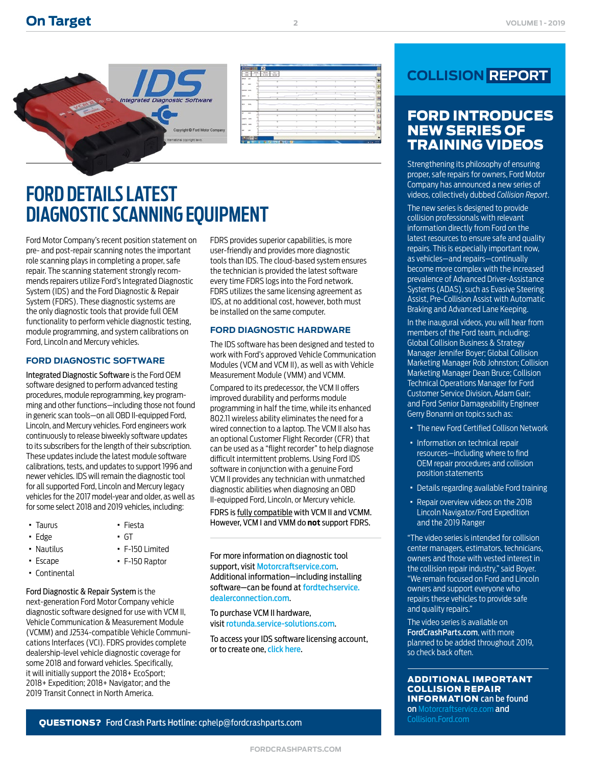

# **FORD DETAILS LATEST DIAGNOSTIC SCANNING EQUIPMENT**

Ford Motor Company's recent position statement on pre- and post-repair scanning notes the important role scanning plays in completing a proper, safe repair. The scanning statement strongly recommends repairers utilize Ford's Integrated Diagnostic System (IDS) and the Ford Diagnostic & Repair System (FDRS). These diagnostic systems are the only diagnostic tools that provide full OEM functionality to perform vehicle diagnostic testing, module programming, and system calibrations on Ford, Lincoln and Mercury vehicles.

#### **FORD DIAGNOSTIC SOFTWARE**

Integrated Diagnostic Software is the Ford OEM software designed to perform advanced testing procedures, module reprogramming, key programming and other functions—including those not found in generic scan tools—on all OBD II-equipped Ford, Lincoln, and Mercury vehicles. Ford engineers work continuously to release biweekly software updates to its subscribers for the length of their subscription. These updates include the latest module software calibrations, tests, and updates to support 1996 and newer vehicles. IDS will remain the diagnostic tool for all supported Ford, Lincoln and Mercury legacy vehicles for the 2017 model-year and older, as well as for some select 2018 and 2019 vehicles, including:

> · Fiesta · GT

· F-150 Limited · F-150 Raptor

- · Taurus
- · Edge
- · Nautilus
- · Escape
- · Continental

Ford Diagnostic & Repair System is the next-generation Ford Motor Company vehicle diagnostic software designed for use with VCM II, Vehicle Communication & Measurement Module (VCMM) and J2534-compatible Vehicle Communications Interfaces (VCI). FDRS provides complete dealership-level vehicle diagnostic coverage for some 2018 and forward vehicles. Specifically, it will initially support the 2018+ EcoSport; 2018+ Expedition; 2018+ Navigator; and the 2019 Transit Connect in North America.

FDRS provides superior capabilities, is more user-friendly and provides more diagnostic tools than IDS. The cloud-based system ensures the technician is provided the latest software every time FDRS logs into the Ford network. FDRS utilizes the same licensing agreement as IDS, at no additional cost, however, both must be installed on the same computer.

**2**

#### **FORD DIAGNOSTIC HARDWARE**

The IDS software has been designed and tested to work with Ford's approved Vehicle Communication Modules (VCM and VCM II), as well as with Vehicle Measurement Module (VMM) and VCMM.

Compared to its predecessor, the VCM II offers improved durability and performs module programming in half the time, while its enhanced 802.11 wireless ability eliminates the need for a wired connection to a laptop. The VCM II also has an optional Customer Flight Recorder (CFR) that can be used as a "flight recorder" to help diagnose difficult intermittent problems. Using Ford IDS software in conjunction with a genuine Ford VCM II provides any technician with unmatched diagnostic abilities when diagnosing an OBD II-equipped Ford, Lincoln, or Mercury vehicle.

FDRS is fully compatible with VCM II and VCMM. However, VCM I and VMM do **not** support FDRS.

For more information on diagnostic tool support, visit [Motorcraftservice.com](https://www.motorcraftservice.com). Additional information—including installing software—can be found at [fordtechservice.](https://www.wslx.dealerconnection.com) [dealerconnection.com](https://www.wslx.dealerconnection.com).

To purchase VCM II hardware, visit [rotunda.service-solutions.com](http://rotunda.service-solutions.com).

To access your IDS software licensing account, or to create one, [click here](http://www2.helminc.com/ngsm/login.asp?u=&src=motorcraft&session=6C9F49B03452450694788F7A45C34070&from=ford&src=motorcraft).

## **COLLISION REPORT**

### FORD INTRODUCES NEW SERIES OF TRAINING VIDEOS

Strengthening its philosophy of ensuring proper, safe repairs for owners, Ford Motor Company has announced a new series of videos, collectively dubbed *Collision Report*.

The new series is designed to provide collision professionals with relevant information directly from Ford on the latest resources to ensure safe and quality repairs. This is especially important now, as vehicles—and repairs—continually become more complex with the increased prevalence of Advanced Driver-Assistance Systems (ADAS), such as Evasive Steering Assist, Pre-Collision Assist with Automatic Braking and Advanced Lane Keeping.

In the inaugural videos, you will hear from members of the Ford team, including: Global Collision Business & Strategy Manager Jennifer Boyer; Global Collision Marketing Manager Rob Johnston; Collision Marketing Manager Dean Bruce; Collision Technical Operations Manager for Ford Customer Service Division, Adam Gair; and Ford Senior Damageability Engineer Gerry Bonanni on topics such as:

- · The new Ford Certified Collison Network
- · Information on technical repair resources—including where to find OEM repair procedures and collision position statements
- · Details regarding available Ford training
- · Repair overview videos on the 2018 Lincoln Navigator/Ford Expedition and the 2019 Ranger

"The video series is intended for collision center managers, estimators, technicians, owners and those with vested interest in the collision repair industry," said Boyer. "We remain focused on Ford and Lincoln owners and support everyone who repairs these vehicles to provide safe and quality repairs."

The video series is available on [FordCrashParts.com](http://FordCrashParts.com), with more planned to be added throughout 2019, so check back often.

ADDITIONAL IMPORTANT COLLISION REPAIR INFORMATION can be found on [Motorcraftservice.com](https://www.motorcraftservice.com) and [Collision.Ford.com](http://Collision.Ford.com).

QUESTIONS? Ford Crash Parts Hotline: [cphelp@fordcrashparts.com](mailto:cphelp%40fordcrashparts.com?subject=Ford%20Crash%20Parts%20Question)

**[FORDCRASHPARTS.COM](http://www.FordCrashParts.com)**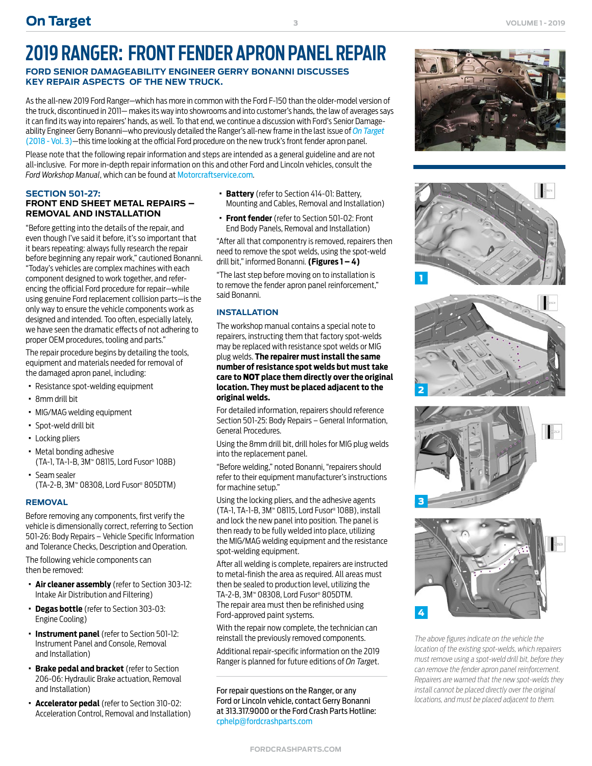# **2019 RANGER: FRONT FENDER APRON PANEL REPAIR**

#### **FORD SENIOR DAMAGEABILITY ENGINEER GERRY BONANNI DISCUSSES KEY REPAIR ASPECTS OF THE NEW TRUCK.**

As the all-new 2019 Ford Ranger—which has more in common with the Ford F-150 than the older-model version of the truck, discontinued in 2011— makes its way into showrooms and into customer's hands, the law of averages says it can find its way into repairers' hands, as well. To that end, we continue a discussion with Ford's Senior Damageability Engineer Gerry Bonanni—who previously detailed the Ranger's all-new frame in the last issue of *[On Target](https://www.oem1stop.com/sites/default/files/On%20Target%20-%202018%2C%20Vol.%203.pdf)*  [\(2018 - Vol. 3\)](https://www.oem1stop.com/sites/default/files/On%20Target%20-%202018%2C%20Vol.%203.pdf)—this time looking at the official Ford procedure on the new truck's front fender apron panel.

Please note that the following repair information and steps are intended as a general guideline and are not all-inclusive. For more in-depth repair information on this and other Ford and Lincoln vehicles, consult the *Ford Workshop Manual*, which can be found at [Motorcraftservice.com](https://www.motorcraftservice.com).

#### **SECTION 501-27: FRONT END SHEET METAL REPAIRS – REMOVAL AND INSTALLATION**

"Before getting into the details of the repair, and even though I've said it before, it's so important that it bears repeating: always fully research the repair before beginning any repair work," cautioned Bonanni. "Today's vehicles are complex machines with each component designed to work together, and referencing the official Ford procedure for repair—while using genuine Ford replacement collision parts—is the only way to ensure the vehicle components work as designed and intended. Too often, especially lately, we have seen the dramatic effects of not adhering to proper OEM procedures, tooling and parts."

The repair procedure begins by detailing the tools, equipment and materials needed for removal of the damaged apron panel, including:

- · Resistance spot-welding equipment
- · 8mm drill bit
- · MIG/MAG welding equipment
- · Spot-weld drill bit
- · Locking pliers
- · Metal bonding adhesive (TA-1, TA-1-B, 3M™ 08115, Lord Fusor® 108B)
- · Seam sealer (TA-2-B, 3M™ 08308, Lord Fusor® 805DTM)

#### **REMOVAL**

Before removing any components, first verify the vehicle is dimensionally correct, referring to Section 501-26: Body Repairs – Vehicle Specific Information and Tolerance Checks, Description and Operation.

The following vehicle components can then be removed:

- · **Air cleaner assembly** (refer to Section 303-12: Intake Air Distribution and Filtering)
- · **Degas bottle** (refer to Section 303-03: Engine Cooling)
- · **Instrument panel** (refer to Section 501-12: Instrument Panel and Console, Removal and Installation)
- · **Brake pedal and bracket** (refer to Section 206-06: Hydraulic Brake actuation, Removal and Installation)
- · **Accelerator pedal** (refer to Section 310-02: Acceleration Control, Removal and Installation)
- · **Battery** (refer to Section 414-01: Battery, Mounting and Cables, Removal and Installation)
- · **Front fender** (refer to Section 501-02: Front End Body Panels, Removal and Installation)

"After all that componentry is removed, repairers then need to remove the spot welds, using the spot-weld drill bit," informed Bonanni. **(Figures 1 – 4)**

"The last step before moving on to installation is to remove the fender apron panel reinforcement," said Bonanni.

#### **INSTALLATION**

The workshop manual contains a special note to repairers, instructing them that factory spot-welds may be replaced with resistance spot welds or MIG plug welds. **The repairer must install the same number of resistance spot welds but must take care to** NOT **place them directly over the original location. They must be placed adjacent to the original welds.**

For detailed information, repairers should reference Section 501-25: Body Repairs – General Information, General Procedures.

Using the 8mm drill bit, drill holes for MIG plug welds into the replacement panel.

"Before welding," noted Bonanni, "repairers should refer to their equipment manufacturer's instructions for machine setup."

Using the locking pliers, and the adhesive agents (TA-1, TA-1-B, 3M™ 08115, Lord Fusor® 108B), install and lock the new panel into position. The panel is then ready to be fully welded into place, utilizing the MIG/MAG welding equipment and the resistance spot-welding equipment.

After all welding is complete, repairers are instructed to metal-finish the area as required. All areas must then be sealed to production level, utilizing the TA-2-B, 3M™ 08308, Lord Fusor® 805DTM. The repair area must then be refinished using Ford-approved paint systems.

With the repair now complete, the technician can reinstall the previously removed components.

Additional repair-specific information on the 2019 Ranger is planned for future editions of *On Targe*t.

For repair questions on the Ranger, or any Ford or Lincoln vehicle, contact Gerry Bonanni at 313.317.9000 or the Ford Crash Parts Hotline: [cphelp@fordcrashparts.com](mailto:cphelp%40fordcrashparts.com?subject=Ford/Lincoln%20Repair%20Question)











*The above figures indicate on the vehicle the location of the existing spot-welds, which repairers must remove using a spot-weld drill bit, before they can remove the fender apron panel reinforcement. Repairers are warned that the new spot-welds they install cannot be placed directly over the original locations, and must be placed adjacent to them.*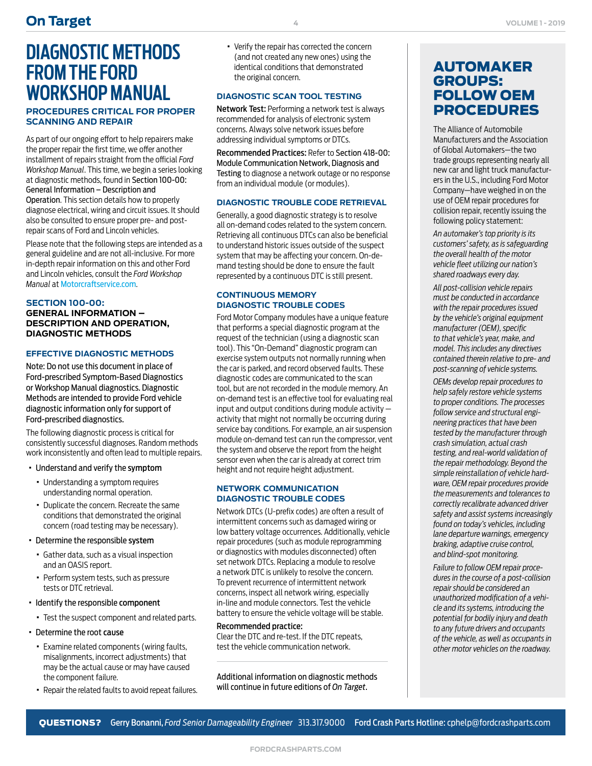# **DIAGNOSTIC METHODS FROM THE FORD WORKSHOP MANUAL**

#### **PROCEDURES CRITICAL FOR PROPER SCANNING AND REPAIR**

As part of our ongoing effort to help repairers make the proper repair the first time, we offer another installment of repairs straight from the official *Ford Workshop Manual*. This time, we begin a series looking at diagnostic methods, found in Section 100-00: General Information – Description and Operation. This section details how to properly diagnose electrical, wiring and circuit issues. It should also be consulted to ensure proper pre- and postrepair scans of Ford and Lincoln vehicles.

Please note that the following steps are intended as a general guideline and are not all-inclusive. For more in-depth repair information on this and other Ford and Lincoln vehicles, consult the *Ford Workshop Manual* at [Motorcraftservice.com](https://www.motorcraftservice.com).

#### **SECTION 100-00:**

**GENERAL INFORMATION – DESCRIPTION AND OPERATION, DIAGNOSTIC METHODS**

#### **EFFECTIVE DIAGNOSTIC METHODS**

Note: Do not use this document in place of Ford-prescribed Symptom-Based Diagnostics or Workshop Manual diagnostics. Diagnostic Methods are intended to provide Ford vehicle diagnostic information only for support of Ford-prescribed diagnostics.

The following diagnostic process is critical for consistently successful diagnoses. Random methods work inconsistently and often lead to multiple repairs.

- · Understand and verify the symptom
	- · Understanding a symptom requires understanding normal operation.
	- · Duplicate the concern. Recreate the same conditions that demonstrated the original concern (road testing may be necessary).
- · Determine the responsible system
	- · Gather data, such as a visual inspection and an OASIS report.
	- · Perform system tests, such as pressure tests or DTC retrieval.
- · Identify the responsible component
	- · Test the suspect component and related parts.
- · Determine the root cause
	- · Examine related components (wiring faults, misalignments, incorrect adjustments) that may be the actual cause or may have caused the component failure.
	- · Repair the related faults to avoid repeat failures.

· Verify the repair has corrected the concern (and not created any new ones) using the identical conditions that demonstrated the original concern.

#### **DIAGNOSTIC SCAN TOOL TESTING**

Network Test: Performing a network test is always recommended for analysis of electronic system concerns. Always solve network issues before addressing individual symptoms or DTCs.

Recommended Practices: Refer to Section 418-00: Module Communication Network, Diagnosis and Testing to diagnose a network outage or no response from an individual module (or modules).

#### **DIAGNOSTIC TROUBLE CODE RETRIEVAL**

Generally, a good diagnostic strategy is to resolve all on-demand codes related to the system concern. Retrieving all continuous DTCs can also be beneficial to understand historic issues outside of the suspect system that may be affecting your concern. On-demand testing should be done to ensure the fault represented by a continuous DTC is still present.

#### **CONTINUOUS MEMORY DIAGNOSTIC TROUBLE CODES**

Ford Motor Company modules have a unique feature that performs a special diagnostic program at the request of the technician (using a diagnostic scan tool). This "On-Demand" diagnostic program can exercise system outputs not normally running when the car is parked, and record observed faults. These diagnostic codes are communicated to the scan tool, but are not recorded in the module memory. An on-demand test is an effective tool for evaluating real input and output conditions during module activity activity that might not normally be occurring during service bay conditions. For example, an air suspension module on-demand test can run the compressor, vent the system and observe the report from the height sensor even when the car is already at correct trim height and not require height adjustment.

#### **NETWORK COMMUNICATION DIAGNOSTIC TROUBLE CODES**

Network DTCs (U-prefix codes) are often a result of intermittent concerns such as damaged wiring or low battery voltage occurrences. Additionally, vehicle repair procedures (such as module reprogramming or diagnostics with modules disconnected) often set network DTCs. Replacing a module to resolve a network DTC is unlikely to resolve the concern. To prevent recurrence of intermittent network concerns, inspect all network wiring, especially in-line and module connectors. Test the vehicle battery to ensure the vehicle voltage will be stable.

#### Recommended practice:

Clear the DTC and re-test. If the DTC repeats, test the vehicle communication network.

Additional information on diagnostic methods will continue in future editions of *On Target*.

### AUTOMAKER GROUPS: FOLLOW OEM PROCEDURES

The Alliance of Automobile Manufacturers and the Association of Global Automakers—the two trade groups representing nearly all new car and light truck manufacturers in the U.S., including Ford Motor Company—have weighed in on the use of OEM repair procedures for collision repair, recently issuing the following policy statement:

*An automaker's top priority is its customers' safety, as is safeguarding the overall health of the motor vehicle fleet utilizing our nation's shared roadways every day.*

*All post-collision vehicle repairs must be conducted in accordance with the repair procedures issued by the vehicle's original equipment manufacturer (OEM), specific to that vehicle's year, make, and model. This includes any directives contained therein relative to pre- and post-scanning of vehicle systems.*

*OEMs develop repair procedures to help safely restore vehicle systems to proper conditions. The processes follow service and structural engineering practices that have been tested by the manufacturer through crash simulation, actual crash testing, and real-world validation of the repair methodology. Beyond the simple reinstallation of vehicle hardware, OEM repair procedures provide the measurements and tolerances to correctly recalibrate advanced driver safety and assist systems increasingly found on today's vehicles, including lane departure warnings, emergency braking, adaptive cruise control, and blind-spot monitoring.*

*Failure to follow OEM repair procedures in the course of a post-collision repair should be considered an unauthorized modification of a vehicle and its systems, introducing the potential for bodily injury and death to any future drivers and occupants of the vehicle, as well as occupants in other motor vehicles on the roadway.*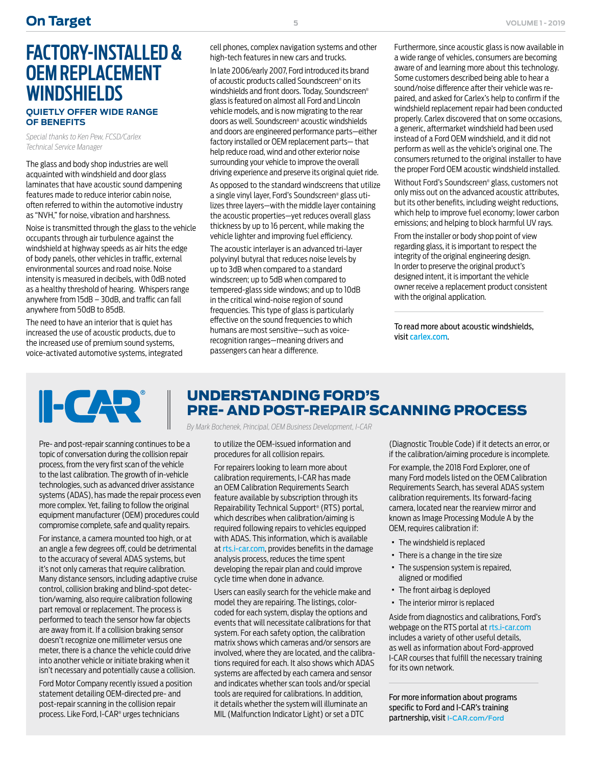# **FACTORY-INSTALLED & OEM REPLACEMENT WINDSHIELDS**

#### **QUIETLY OFFER WIDE RANGE OF BENEFITS**

*Special thanks to Ken Pew, FCSD/Carlex Technical Service Manager*

The glass and body shop industries are well acquainted with windshield and door glass laminates that have acoustic sound dampening features made to reduce interior cabin noise, often referred to within the automotive industry as "NVH," for noise, vibration and harshness.

Noise is transmitted through the glass to the vehicle occupants through air turbulence against the windshield at highway speeds as air hits the edge of body panels, other vehicles in traffic, external environmental sources and road noise. Noise intensity is measured in decibels, with 0dB noted as a healthy threshold of hearing. Whispers range anywhere from 15dB – 30dB, and traffic can fall anywhere from 50dB to 85dB.

The need to have an interior that is quiet has increased the use of acoustic products, due to the increased use of premium sound systems, voice-activated automotive systems, integrated

cell phones, complex navigation systems and other high-tech features in new cars and trucks.

In late 2006/early 2007, Ford introduced its brand of acoustic products called Soundscreen® on its windshields and front doors. Today, Soundscreen® glass is featured on almost all Ford and Lincoln vehicle models, and is now migrating to the rear doors as well. Soundscreen® acoustic windshields and doors are engineered performance parts—either factory installed or OEM replacement parts— that help reduce road, wind and other exterior noise surrounding your vehicle to improve the overall driving experience and preserve its original quiet ride.

As opposed to the standard windscreens that utilize a single vinyl layer, Ford's Soundscreen® glass utilizes three layers—with the middle layer containing the acoustic properties—yet reduces overall glass thickness by up to 16 percent, while making the vehicle lighter and improving fuel efficiency.

The acoustic interlayer is an advanced tri-layer polyvinyl butyral that reduces noise levels by up to 3dB when compared to a standard windscreen; up to 5dB when compared to tempered-glass side windows; and up to 10dB in the critical wind-noise region of sound frequencies. This type of glass is particularly effective on the sound frequencies to which humans are most sensitive—such as voicerecognition ranges—meaning drivers and passengers can hear a difference.

Furthermore, since acoustic glass is now available in a wide range of vehicles, consumers are becoming aware of and learning more about this technology. Some customers described being able to hear a sound/noise difference after their vehicle was repaired, and asked for Carlex's help to confirm if the windshield replacement repair had been conducted properly. Carlex discovered that on some occasions, a generic, aftermarket windshield had been used instead of a Ford OEM windshield, and it did not perform as well as the vehicle's original one. The consumers returned to the original installer to have the proper Ford OEM acoustic windshield installed.

Without Ford's Soundscreen® glass, customers not only miss out on the advanced acoustic attributes, but its other benefits, including weight reductions, which help to improve fuel economy; lower carbon emissions; and helping to block harmful UV rays.

From the installer or body shop point of view regarding glass, it is important to respect the integrity of the original engineering design. In order to preserve the original product's designed intent, it is important the vehicle owner receive a replacement product consistent with the original application.

To read more about acoustic windshields, visit [carlex.com](http://www.carlex.com).



Pre- and post-repair scanning continues to be a topic of conversation during the collision repair process, from the very first scan of the vehicle to the last calibration. The growth of in-vehicle technologies, such as advanced driver assistance systems (ADAS), has made the repair process even more complex. Yet, failing to follow the original equipment manufacturer (OEM) procedures could compromise complete, safe and quality repairs.

For instance, a camera mounted too high, or at an angle a few degrees off, could be detrimental to the accuracy of several ADAS systems, but it's not only cameras that require calibration. Many distance sensors, including adaptive cruise control, collision braking and blind-spot detection/warning, also require calibration following part removal or replacement. The process is performed to teach the sensor how far objects are away from it. If a collision braking sensor doesn't recognize one millimeter versus one meter, there is a chance the vehicle could drive into another vehicle or initiate braking when it isn't necessary and potentially cause a collision.

Ford Motor Company recently issued a position statement detailing OEM-directed pre- and post-repair scanning in the collision repair process. Like Ford, I-CAR® urges technicians

### UNDERSTANDING FORD'S PRE- AND POST-REPAIR SCANNING PROCESS

*By Mark Bochenek, Principal, OEM Business Development, I-CAR*

to utilize the OEM-issued information and procedures for all collision repairs.

For repairers looking to learn more about calibration requirements, I-CAR has made an OEM Calibration Requirements Search feature available by subscription through its Repairability Technical Support® (RTS) portal, which describes when calibration/aiming is required following repairs to vehicles equipped with ADAS. This information, which is available at [rts.i-car.com](http://rts.i-car.com), provides benefits in the damage analysis process, reduces the time spent developing the repair plan and could improve cycle time when done in advance.

Users can easily search for the vehicle make and model they are repairing. The listings, colorcoded for each system, display the options and events that will necessitate calibrations for that system. For each safety option, the calibration matrix shows which cameras and/or sensors are involved, where they are located, and the calibrations required for each. It also shows which ADAS systems are affected by each camera and sensor and indicates whether scan tools and/or special tools are required for calibrations. In addition, it details whether the system will illuminate an MIL (Malfunction Indicator Light) or set a DTC

(Diagnostic Trouble Code) if it detects an error, or if the calibration/aiming procedure is incomplete.

For example, the 2018 Ford Explorer, one of many Ford models listed on the OEM Calibration Requirements Search, has several ADAS system calibration requirements. Its forward-facing camera, located near the rearview mirror and known as Image Processing Module A by the OEM, requires calibration if:

- · The windshield is replaced
- · There is a change in the tire size
- · The suspension system is repaired, aligned or modified
- · The front airbag is deployed
- · The interior mirror is replaced

Aside from diagnostics and calibrations, Ford's webpage on the RTS portal at [rts.i-car.com](https://rts.i-car.com/)  includes a variety of other useful details, as well as information about Ford-approved I-CAR courses that fulfill the necessary training for its own network.

For more information about programs specific to Ford and I-CAR's training partnership, visit [I-CAR.com/Ford](http://I-CAR.com/Ford).